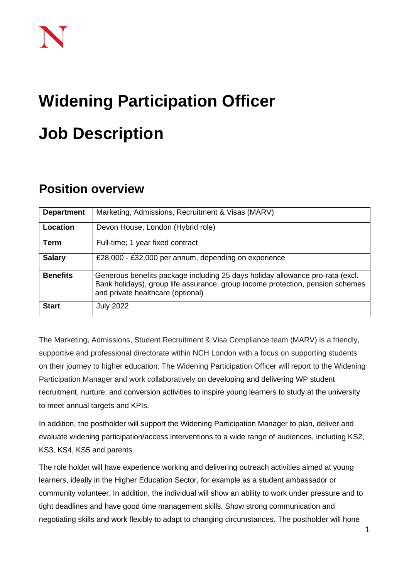# **Widening Participation Officer Job Description**

# **Position overview**

| <b>Department</b> | Marketing, Admissions, Recruitment & Visas (MARV)                                                                                                                                                    |
|-------------------|------------------------------------------------------------------------------------------------------------------------------------------------------------------------------------------------------|
| Location          | Devon House, London (Hybrid role)                                                                                                                                                                    |
| <b>Term</b>       | Full-time; 1 year fixed contract                                                                                                                                                                     |
| <b>Salary</b>     | £28,000 - £32,000 per annum, depending on experience                                                                                                                                                 |
| <b>Benefits</b>   | Generous benefits package including 25 days holiday allowance pro-rata (excl.<br>Bank holidays), group life assurance, group income protection, pension schemes<br>and private healthcare (optional) |
| <b>Start</b>      | <b>July 2022</b>                                                                                                                                                                                     |

The Marketing, Admissions, Student Recruitment & Visa Compliance team (MARV) is a friendly, supportive and professional directorate within NCH London with a focus on supporting students on their journey to higher education. The Widening Participation Officer will report to the Widening Participation Manager and work collaboratively on developing and delivering WP student recruitment, nurture, and conversion activities to inspire young learners to study at the university to meet annual targets and KPIs.

In addition, the postholder will support the Widening Participation Manager to plan, deliver and evaluate widening participation/access interventions to a wide range of audiences, including KS2, KS3, KS4, KS5 and parents.

The role holder will have experience working and delivering outreach activities aimed at young learners, ideally in the Higher Education Sector, for example as a student ambassador or community volunteer. In addition, the individual will show an ability to work under pressure and to tight deadlines and have good time management skills. Show strong communication and negotiating skills and work flexibly to adapt to changing circumstances. The postholder will hone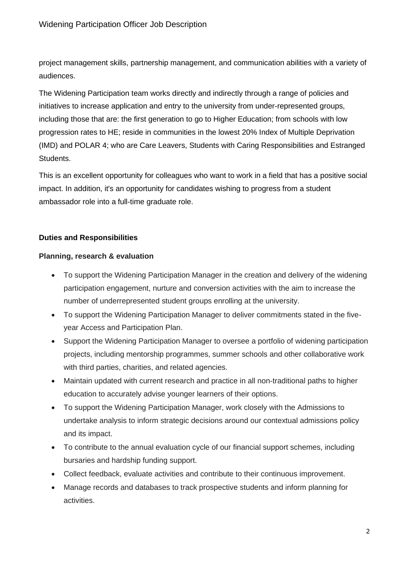project management skills, partnership management, and communication abilities with a variety of audiences.

The Widening Participation team works directly and indirectly through a range of policies and initiatives to increase application and entry to the university from under-represented groups, including those that are: the first generation to go to Higher Education; from schools with low progression rates to HE; reside in communities in the lowest 20% Index of Multiple Deprivation (IMD) and POLAR 4; who are Care Leavers, Students with Caring Responsibilities and Estranged Students.

This is an excellent opportunity for colleagues who want to work in a field that has a positive social impact. In addition, it's an opportunity for candidates wishing to progress from a student ambassador role into a full-time graduate role.

# **Duties and Responsibilities**

# **Planning, research & evaluation**

- To support the Widening Participation Manager in the creation and delivery of the widening participation engagement, nurture and conversion activities with the aim to increase the number of underrepresented student groups enrolling at the university.
- To support the Widening Participation Manager to deliver commitments stated in the fiveyear Access and Participation Plan.
- Support the Widening Participation Manager to oversee a portfolio of widening participation projects, including mentorship programmes, summer schools and other collaborative work with third parties, charities, and related agencies.
- Maintain updated with current research and practice in all non-traditional paths to higher education to accurately advise younger learners of their options.
- To support the Widening Participation Manager, work closely with the Admissions to undertake analysis to inform strategic decisions around our contextual admissions policy and its impact.
- To contribute to the annual evaluation cycle of our financial support schemes, including bursaries and hardship funding support.
- Collect feedback, evaluate activities and contribute to their continuous improvement.
- Manage records and databases to track prospective students and inform planning for activities.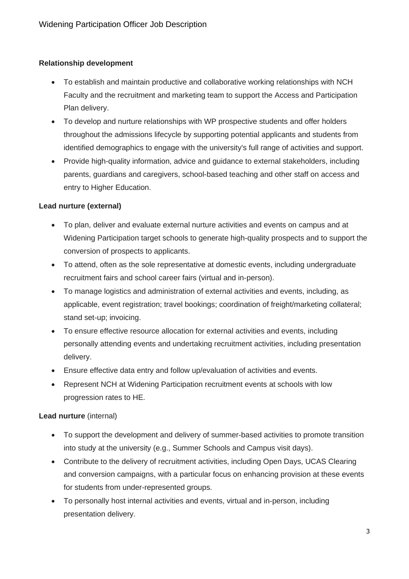# **Relationship development**

- To establish and maintain productive and collaborative working relationships with NCH Faculty and the recruitment and marketing team to support the Access and Participation Plan delivery.
- To develop and nurture relationships with WP prospective students and offer holders throughout the admissions lifecycle by supporting potential applicants and students from identified demographics to engage with the university's full range of activities and support.
- Provide high-quality information, advice and guidance to external stakeholders, including parents, guardians and caregivers, school-based teaching and other staff on access and entry to Higher Education.

# **Lead nurture (external)**

- To plan, deliver and evaluate external nurture activities and events on campus and at Widening Participation target schools to generate high-quality prospects and to support the conversion of prospects to applicants.
- To attend, often as the sole representative at domestic events, including undergraduate recruitment fairs and school career fairs (virtual and in-person).
- To manage logistics and administration of external activities and events, including, as applicable, event registration; travel bookings; coordination of freight/marketing collateral; stand set-up; invoicing.
- To ensure effective resource allocation for external activities and events, including personally attending events and undertaking recruitment activities, including presentation delivery.
- Ensure effective data entry and follow up/evaluation of activities and events.
- Represent NCH at Widening Participation recruitment events at schools with low progression rates to HE.

# **Lead nurture** (internal)

- To support the development and delivery of summer-based activities to promote transition into study at the university (e.g., Summer Schools and Campus visit days).
- Contribute to the delivery of recruitment activities, including Open Days, UCAS Clearing and conversion campaigns, with a particular focus on enhancing provision at these events for students from under-represented groups.
- To personally host internal activities and events, virtual and in-person, including presentation delivery.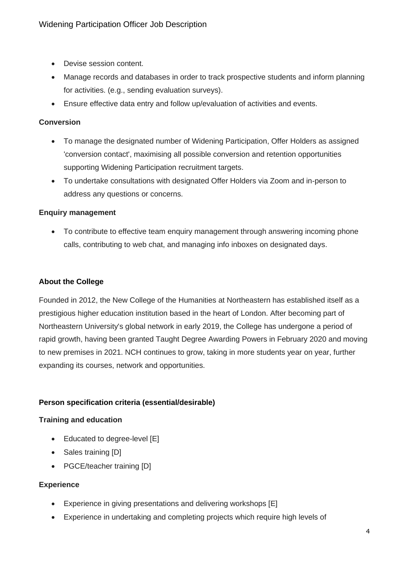- Devise session content.
- Manage records and databases in order to track prospective students and inform planning for activities. (e.g., sending evaluation surveys).
- Ensure effective data entry and follow up/evaluation of activities and events.

#### **Conversion**

- To manage the designated number of Widening Participation, Offer Holders as assigned 'conversion contact', maximising all possible conversion and retention opportunities supporting Widening Participation recruitment targets.
- To undertake consultations with designated Offer Holders via Zoom and in-person to address any questions or concerns.

#### **Enquiry management**

• To contribute to effective team enquiry management through answering incoming phone calls, contributing to web chat, and managing info inboxes on designated days.

#### **About the College**

Founded in 2012, the New College of the Humanities at Northeastern has established itself as a prestigious higher education institution based in the heart of London. After becoming part of Northeastern University's global network in early 2019, the College has undergone a period of rapid growth, having been granted Taught Degree Awarding Powers in February 2020 and moving to new premises in 2021. NCH continues to grow, taking in more students year on year, further expanding its courses, network and opportunities.

# **Person specification criteria (essential/desirable)**

#### **Training and education**

- Educated to degree-level [E]
- Sales training [D]
- PGCE/teacher training [D]

#### **Experience**

- Experience in giving presentations and delivering workshops [E]
- Experience in undertaking and completing projects which require high levels of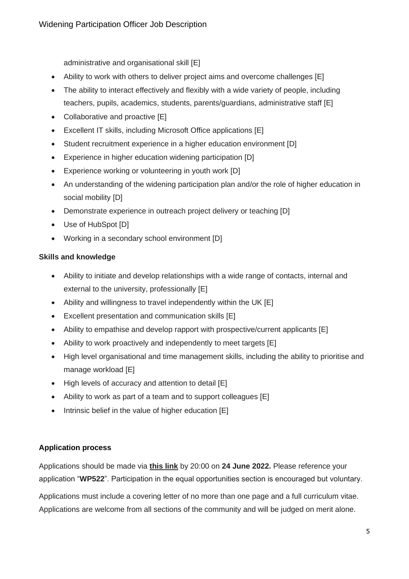administrative and organisational skill [E]

- Ability to work with others to deliver project aims and overcome challenges [E]
- The ability to interact effectively and flexibly with a wide variety of people, including teachers, pupils, academics, students, parents/guardians, administrative staff [E]
- Collaborative and proactive [E]
- Excellent IT skills, including Microsoft Office applications [E]
- Student recruitment experience in a higher education environment [D]
- Experience in higher education widening participation [D]
- Experience working or volunteering in youth work [D]
- An understanding of the widening participation plan and/or the role of higher education in social mobility [D]
- Demonstrate experience in outreach project delivery or teaching [D]
- Use of HubSpot [D]
- Working in a secondary school environment [D]

# **Skills and knowledge**

- Ability to initiate and develop relationships with a wide range of contacts, internal and external to the university, professionally [E]
- Ability and willingness to travel independently within the UK [E]
- Excellent presentation and communication skills [E]
- Ability to empathise and develop rapport with prospective/current applicants [E]
- Ability to work proactively and independently to meet targets [E]
- High level organisational and time management skills, including the ability to prioritise and manage workload [E]
- High levels of accuracy and attention to detail [E]
- Ability to work as part of a team and to support colleagues [E]
- Intrinsic belief in the value of higher education [E]

# **Application process**

Applications should be made via **[this link](https://share.hsforms.com/1p3G6XPo_QD-X7V9aRnSTYQ2peji)** by 20:00 on **24 June 2022.** Please reference your application "**WP522**". Participation in the equal opportunities section is encouraged but voluntary.

Applications must include a covering letter of no more than one page and a full curriculum vitae. Applications are welcome from all sections of the community and will be judged on merit alone.